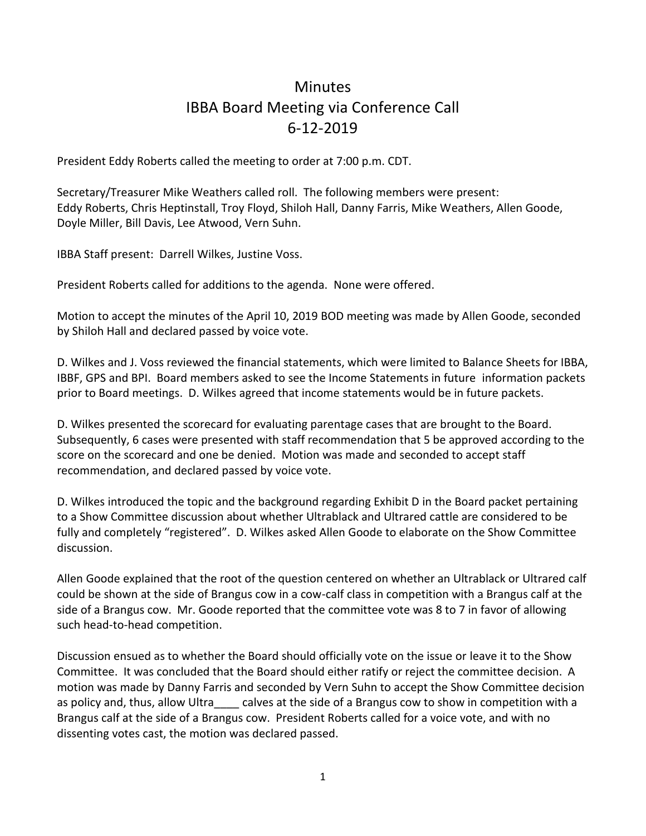## **Minutes** IBBA Board Meeting via Conference Call 6-12-2019

President Eddy Roberts called the meeting to order at 7:00 p.m. CDT.

Secretary/Treasurer Mike Weathers called roll. The following members were present: Eddy Roberts, Chris Heptinstall, Troy Floyd, Shiloh Hall, Danny Farris, Mike Weathers, Allen Goode, Doyle Miller, Bill Davis, Lee Atwood, Vern Suhn.

IBBA Staff present: Darrell Wilkes, Justine Voss.

President Roberts called for additions to the agenda. None were offered.

Motion to accept the minutes of the April 10, 2019 BOD meeting was made by Allen Goode, seconded by Shiloh Hall and declared passed by voice vote.

D. Wilkes and J. Voss reviewed the financial statements, which were limited to Balance Sheets for IBBA, IBBF, GPS and BPI. Board members asked to see the Income Statements in future information packets prior to Board meetings. D. Wilkes agreed that income statements would be in future packets.

D. Wilkes presented the scorecard for evaluating parentage cases that are brought to the Board. Subsequently, 6 cases were presented with staff recommendation that 5 be approved according to the score on the scorecard and one be denied. Motion was made and seconded to accept staff recommendation, and declared passed by voice vote.

D. Wilkes introduced the topic and the background regarding Exhibit D in the Board packet pertaining to a Show Committee discussion about whether Ultrablack and Ultrared cattle are considered to be fully and completely "registered". D. Wilkes asked Allen Goode to elaborate on the Show Committee discussion.

Allen Goode explained that the root of the question centered on whether an Ultrablack or Ultrared calf could be shown at the side of Brangus cow in a cow-calf class in competition with a Brangus calf at the side of a Brangus cow. Mr. Goode reported that the committee vote was 8 to 7 in favor of allowing such head-to-head competition.

Discussion ensued as to whether the Board should officially vote on the issue or leave it to the Show Committee. It was concluded that the Board should either ratify or reject the committee decision. A motion was made by Danny Farris and seconded by Vern Suhn to accept the Show Committee decision as policy and, thus, allow Ultra calves at the side of a Brangus cow to show in competition with a Brangus calf at the side of a Brangus cow. President Roberts called for a voice vote, and with no dissenting votes cast, the motion was declared passed.